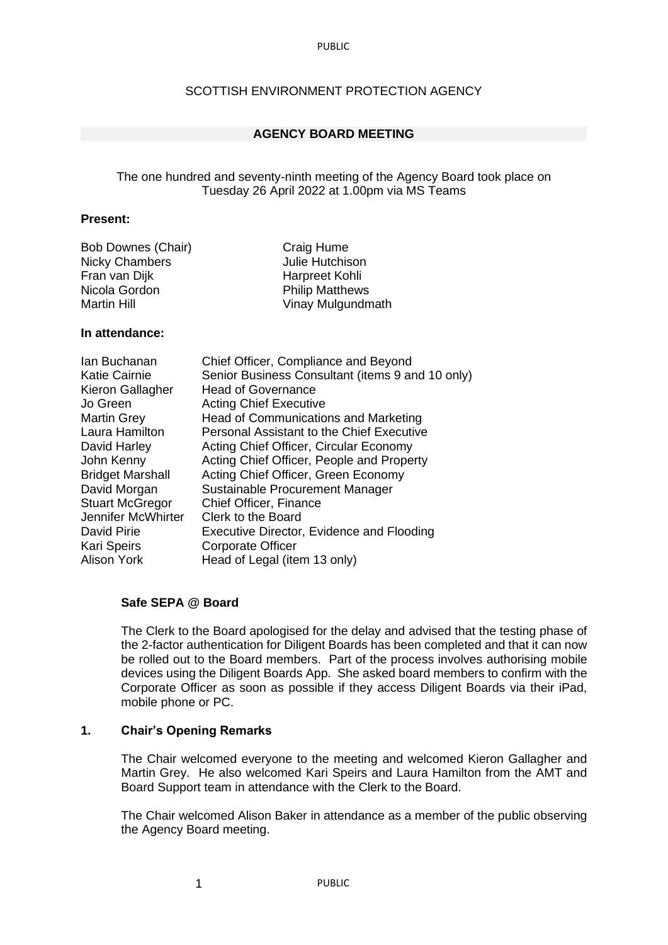PUBLIC

## SCOTTISH ENVIRONMENT PROTECTION AGENCY

## **AGENCY BOARD MEETING**

## The one hundred and seventy-ninth meeting of the Agency Board took place on Tuesday 26 April 2022 at 1.00pm via MS Teams

## **Present:**

| Craig Hume             |
|------------------------|
| Julie Hutchison        |
| Harpreet Kohli         |
| <b>Philip Matthews</b> |
| Vinay Mulgundmath      |
|                        |

## **In attendance:**

| lan Buchanan            | Chief Officer, Compliance and Beyond             |
|-------------------------|--------------------------------------------------|
| <b>Katie Cairnie</b>    | Senior Business Consultant (items 9 and 10 only) |
| Kieron Gallagher        | <b>Head of Governance</b>                        |
| Jo Green                | <b>Acting Chief Executive</b>                    |
| <b>Martin Grey</b>      | Head of Communications and Marketing             |
| Laura Hamilton          | <b>Personal Assistant to the Chief Executive</b> |
| David Harley            | Acting Chief Officer, Circular Economy           |
| John Kenny              | Acting Chief Officer, People and Property        |
| <b>Bridget Marshall</b> | Acting Chief Officer, Green Economy              |
| David Morgan            | Sustainable Procurement Manager                  |
| <b>Stuart McGregor</b>  | Chief Officer, Finance                           |
| Jennifer McWhirter      | Clerk to the Board                               |
| David Pirie             | Executive Director, Evidence and Flooding        |
| <b>Kari Speirs</b>      | <b>Corporate Officer</b>                         |
| <b>Alison York</b>      | Head of Legal (item 13 only)                     |
|                         |                                                  |

#### **Safe SEPA @ Board**

The Clerk to the Board apologised for the delay and advised that the testing phase of the 2-factor authentication for Diligent Boards has been completed and that it can now be rolled out to the Board members. Part of the process involves authorising mobile devices using the Diligent Boards App. She asked board members to confirm with the Corporate Officer as soon as possible if they access Diligent Boards via their iPad, mobile phone or PC.

## **1. Chair's Opening Remarks**

1

The Chair welcomed everyone to the meeting and welcomed Kieron Gallagher and Martin Grey. He also welcomed Kari Speirs and Laura Hamilton from the AMT and Board Support team in attendance with the Clerk to the Board.

The Chair welcomed Alison Baker in attendance as a member of the public observing the Agency Board meeting.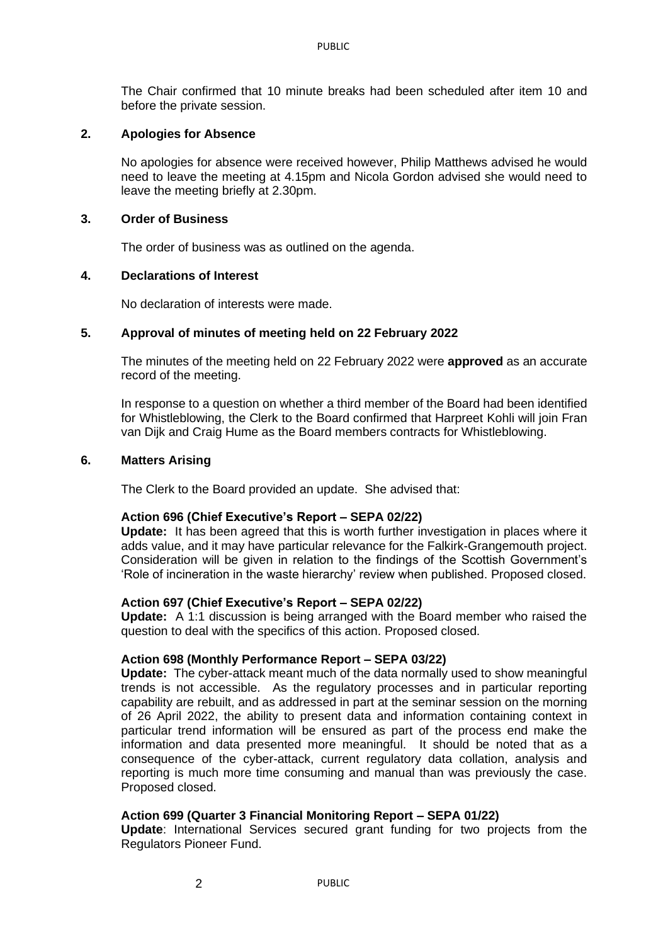The Chair confirmed that 10 minute breaks had been scheduled after item 10 and before the private session.

## **2. Apologies for Absence**

No apologies for absence were received however, Philip Matthews advised he would need to leave the meeting at 4.15pm and Nicola Gordon advised she would need to leave the meeting briefly at 2.30pm.

## **3. Order of Business**

The order of business was as outlined on the agenda.

## **4. Declarations of Interest**

No declaration of interests were made.

## **5. Approval of minutes of meeting held on 22 February 2022**

The minutes of the meeting held on 22 February 2022 were **approved** as an accurate record of the meeting.

In response to a question on whether a third member of the Board had been identified for Whistleblowing, the Clerk to the Board confirmed that Harpreet Kohli will join Fran van Dijk and Craig Hume as the Board members contracts for Whistleblowing.

## **6. Matters Arising**

The Clerk to the Board provided an update. She advised that:

## **Action 696 (Chief Executive's Report – SEPA 02/22)**

**Update:** It has been agreed that this is worth further investigation in places where it adds value, and it may have particular relevance for the Falkirk-Grangemouth project. Consideration will be given in relation to the findings of the Scottish Government's 'Role of incineration in the waste hierarchy' review when published. Proposed closed.

#### **Action 697 (Chief Executive's Report – SEPA 02/22)**

**Update:** A 1:1 discussion is being arranged with the Board member who raised the question to deal with the specifics of this action. Proposed closed.

#### **Action 698 (Monthly Performance Report – SEPA 03/22)**

**Update:** The cyber-attack meant much of the data normally used to show meaningful trends is not accessible. As the regulatory processes and in particular reporting capability are rebuilt, and as addressed in part at the seminar session on the morning of 26 April 2022, the ability to present data and information containing context in particular trend information will be ensured as part of the process end make the information and data presented more meaningful. It should be noted that as a consequence of the cyber-attack, current regulatory data collation, analysis and reporting is much more time consuming and manual than was previously the case. Proposed closed.

## **Action 699 (Quarter 3 Financial Monitoring Report – SEPA 01/22)**

 $\mathfrak{p}$ 

**Update**: International Services secured grant funding for two projects from the Regulators Pioneer Fund.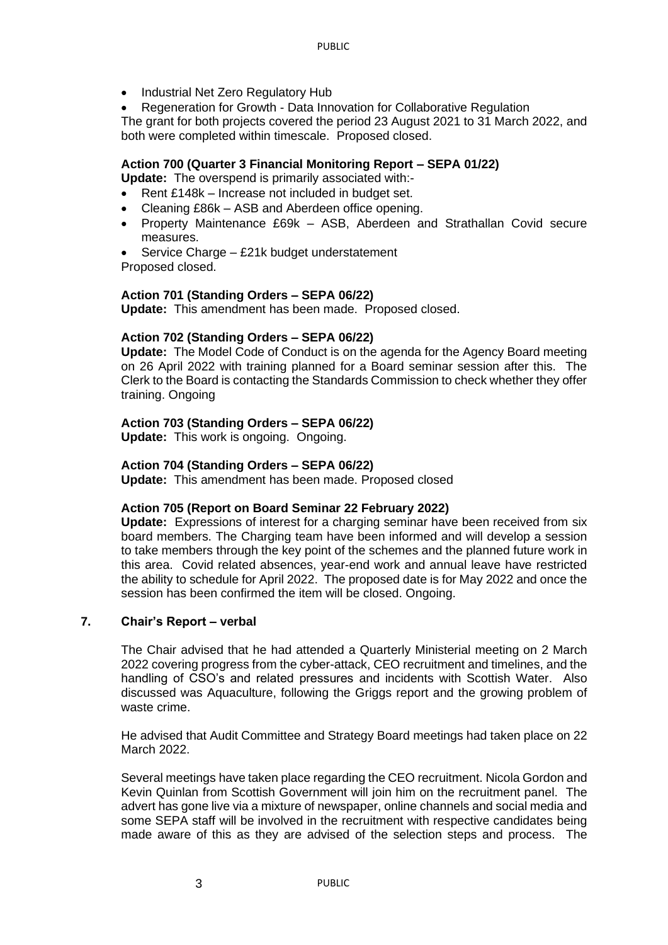- Industrial Net Zero Regulatory Hub
- Regeneration for Growth Data Innovation for Collaborative Regulation

The grant for both projects covered the period 23 August 2021 to 31 March 2022, and both were completed within timescale. Proposed closed.

## **Action 700 (Quarter 3 Financial Monitoring Report – SEPA 01/22)**

**Update:** The overspend is primarily associated with:-

- Rent £148k Increase not included in budget set.
- Cleaning £86k ASB and Aberdeen office opening.
- Property Maintenance £69k ASB, Aberdeen and Strathallan Covid secure measures.
- Service Charge £21k budget understatement

Proposed closed.

## **Action 701 (Standing Orders – SEPA 06/22)**

**Update:** This amendment has been made. Proposed closed.

## **Action 702 (Standing Orders – SEPA 06/22)**

**Update:** The Model Code of Conduct is on the agenda for the Agency Board meeting on 26 April 2022 with training planned for a Board seminar session after this. The Clerk to the Board is contacting the Standards Commission to check whether they offer training. Ongoing

## **Action 703 (Standing Orders – SEPA 06/22)**

**Update:** This work is ongoing. Ongoing.

## **Action 704 (Standing Orders – SEPA 06/22)**

**Update:** This amendment has been made. Proposed closed

#### **Action 705 (Report on Board Seminar 22 February 2022)**

**Update:** Expressions of interest for a charging seminar have been received from six board members. The Charging team have been informed and will develop a session to take members through the key point of the schemes and the planned future work in this area. Covid related absences, year-end work and annual leave have restricted the ability to schedule for April 2022. The proposed date is for May 2022 and once the session has been confirmed the item will be closed. Ongoing.

#### **7. Chair's Report – verbal**

The Chair advised that he had attended a Quarterly Ministerial meeting on 2 March 2022 covering progress from the cyber-attack, CEO recruitment and timelines, and the handling of CSO's and related pressures and incidents with Scottish Water. Also discussed was Aquaculture, following the Griggs report and the growing problem of waste crime.

He advised that Audit Committee and Strategy Board meetings had taken place on 22 March 2022.

Several meetings have taken place regarding the CEO recruitment. Nicola Gordon and Kevin Quinlan from Scottish Government will join him on the recruitment panel. The advert has gone live via a mixture of newspaper, online channels and social media and some SEPA staff will be involved in the recruitment with respective candidates being made aware of this as they are advised of the selection steps and process. The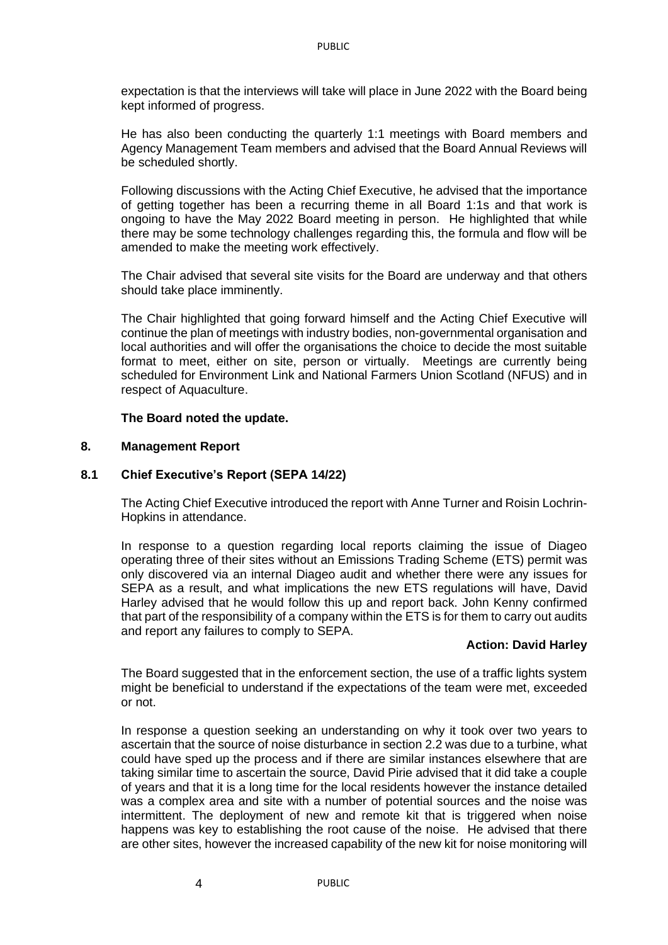expectation is that the interviews will take will place in June 2022 with the Board being kept informed of progress.

He has also been conducting the quarterly 1:1 meetings with Board members and Agency Management Team members and advised that the Board Annual Reviews will be scheduled shortly.

Following discussions with the Acting Chief Executive, he advised that the importance of getting together has been a recurring theme in all Board 1:1s and that work is ongoing to have the May 2022 Board meeting in person. He highlighted that while there may be some technology challenges regarding this, the formula and flow will be amended to make the meeting work effectively.

The Chair advised that several site visits for the Board are underway and that others should take place imminently.

The Chair highlighted that going forward himself and the Acting Chief Executive will continue the plan of meetings with industry bodies, non-governmental organisation and local authorities and will offer the organisations the choice to decide the most suitable format to meet, either on site, person or virtually. Meetings are currently being scheduled for Environment Link and National Farmers Union Scotland (NFUS) and in respect of Aquaculture.

## **The Board noted the update.**

## **8. Management Report**

#### **8.1 Chief Executive's Report (SEPA 14/22)**

The Acting Chief Executive introduced the report with Anne Turner and Roisin Lochrin-Hopkins in attendance.

In response to a question regarding local reports claiming the issue of Diageo operating three of their sites without an Emissions Trading Scheme (ETS) permit was only discovered via an internal Diageo audit and whether there were any issues for SEPA as a result, and what implications the new ETS regulations will have, David Harley advised that he would follow this up and report back. John Kenny confirmed that part of the responsibility of a company within the ETS is for them to carry out audits and report any failures to comply to SEPA.

#### **Action: David Harley**

The Board suggested that in the enforcement section, the use of a traffic lights system might be beneficial to understand if the expectations of the team were met, exceeded or not.

In response a question seeking an understanding on why it took over two years to ascertain that the source of noise disturbance in section 2.2 was due to a turbine, what could have sped up the process and if there are similar instances elsewhere that are taking similar time to ascertain the source, David Pirie advised that it did take a couple of years and that it is a long time for the local residents however the instance detailed was a complex area and site with a number of potential sources and the noise was intermittent. The deployment of new and remote kit that is triggered when noise happens was key to establishing the root cause of the noise. He advised that there are other sites, however the increased capability of the new kit for noise monitoring will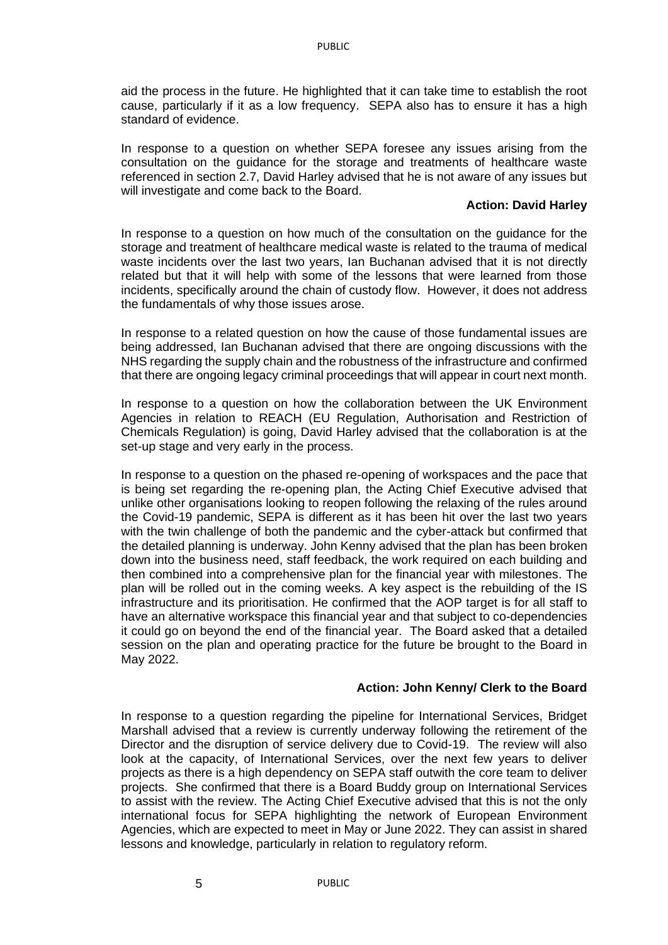aid the process in the future. He highlighted that it can take time to establish the root cause, particularly if it as a low frequency. SEPA also has to ensure it has a high standard of evidence.

In response to a question on whether SEPA foresee any issues arising from the consultation on the guidance for the storage and treatments of healthcare waste referenced in section 2.7, David Harley advised that he is not aware of any issues but will investigate and come back to the Board.

## **Action: David Harley**

In response to a question on how much of the consultation on the guidance for the storage and treatment of healthcare medical waste is related to the trauma of medical waste incidents over the last two years, Ian Buchanan advised that it is not directly related but that it will help with some of the lessons that were learned from those incidents, specifically around the chain of custody flow. However, it does not address the fundamentals of why those issues arose.

In response to a related question on how the cause of those fundamental issues are being addressed, Ian Buchanan advised that there are ongoing discussions with the NHS regarding the supply chain and the robustness of the infrastructure and confirmed that there are ongoing legacy criminal proceedings that will appear in court next month.

In response to a question on how the collaboration between the UK Environment Agencies in relation to REACH (EU Regulation, Authorisation and Restriction of Chemicals Regulation) is going, David Harley advised that the collaboration is at the set-up stage and very early in the process.

In response to a question on the phased re-opening of workspaces and the pace that is being set regarding the re-opening plan, the Acting Chief Executive advised that unlike other organisations looking to reopen following the relaxing of the rules around the Covid-19 pandemic, SEPA is different as it has been hit over the last two years with the twin challenge of both the pandemic and the cyber-attack but confirmed that the detailed planning is underway. John Kenny advised that the plan has been broken down into the business need, staff feedback, the work required on each building and then combined into a comprehensive plan for the financial year with milestones. The plan will be rolled out in the coming weeks. A key aspect is the rebuilding of the IS infrastructure and its prioritisation. He confirmed that the AOP target is for all staff to have an alternative workspace this financial year and that subject to co-dependencies it could go on beyond the end of the financial year. The Board asked that a detailed session on the plan and operating practice for the future be brought to the Board in May 2022.

#### **Action: John Kenny/ Clerk to the Board**

In response to a question regarding the pipeline for International Services, Bridget Marshall advised that a review is currently underway following the retirement of the Director and the disruption of service delivery due to Covid-19. The review will also look at the capacity, of International Services, over the next few years to deliver projects as there is a high dependency on SEPA staff outwith the core team to deliver projects. She confirmed that there is a Board Buddy group on International Services to assist with the review. The Acting Chief Executive advised that this is not the only international focus for SEPA highlighting the network of European Environment Agencies, which are expected to meet in May or June 2022. They can assist in shared lessons and knowledge, particularly in relation to regulatory reform.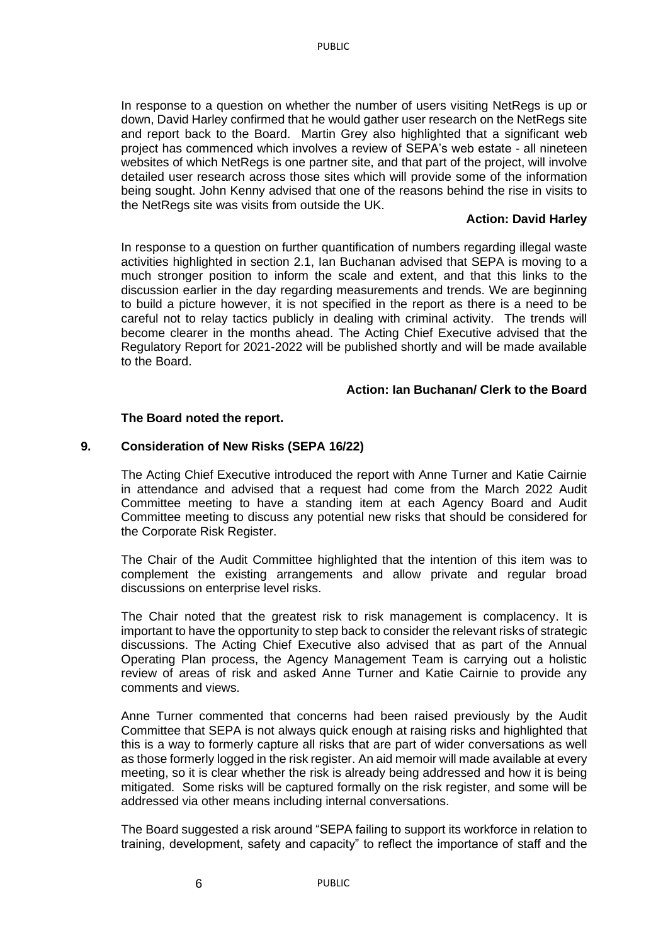In response to a question on whether the number of users visiting NetRegs is up or down, David Harley confirmed that he would gather user research on the NetRegs site and report back to the Board. Martin Grey also highlighted that a significant web project has commenced which involves a review of SEPA's web estate - all nineteen websites of which NetRegs is one partner site, and that part of the project, will involve detailed user research across those sites which will provide some of the information being sought. John Kenny advised that one of the reasons behind the rise in visits to the NetRegs site was visits from outside the UK.

## **Action: David Harley**

In response to a question on further quantification of numbers regarding illegal waste activities highlighted in section 2.1, Ian Buchanan advised that SEPA is moving to a much stronger position to inform the scale and extent, and that this links to the discussion earlier in the day regarding measurements and trends. We are beginning to build a picture however, it is not specified in the report as there is a need to be careful not to relay tactics publicly in dealing with criminal activity. The trends will become clearer in the months ahead. The Acting Chief Executive advised that the Regulatory Report for 2021-2022 will be published shortly and will be made available to the Board.

## **Action: Ian Buchanan/ Clerk to the Board**

## **The Board noted the report.**

## **9. Consideration of New Risks (SEPA 16/22)**

The Acting Chief Executive introduced the report with Anne Turner and Katie Cairnie in attendance and advised that a request had come from the March 2022 Audit Committee meeting to have a standing item at each Agency Board and Audit Committee meeting to discuss any potential new risks that should be considered for the Corporate Risk Register.

The Chair of the Audit Committee highlighted that the intention of this item was to complement the existing arrangements and allow private and regular broad discussions on enterprise level risks.

The Chair noted that the greatest risk to risk management is complacency. It is important to have the opportunity to step back to consider the relevant risks of strategic discussions. The Acting Chief Executive also advised that as part of the Annual Operating Plan process, the Agency Management Team is carrying out a holistic review of areas of risk and asked Anne Turner and Katie Cairnie to provide any comments and views.

Anne Turner commented that concerns had been raised previously by the Audit Committee that SEPA is not always quick enough at raising risks and highlighted that this is a way to formerly capture all risks that are part of wider conversations as well as those formerly logged in the risk register. An aid memoir will made available at every meeting, so it is clear whether the risk is already being addressed and how it is being mitigated. Some risks will be captured formally on the risk register, and some will be addressed via other means including internal conversations.

The Board suggested a risk around "SEPA failing to support its workforce in relation to training, development, safety and capacity" to reflect the importance of staff and the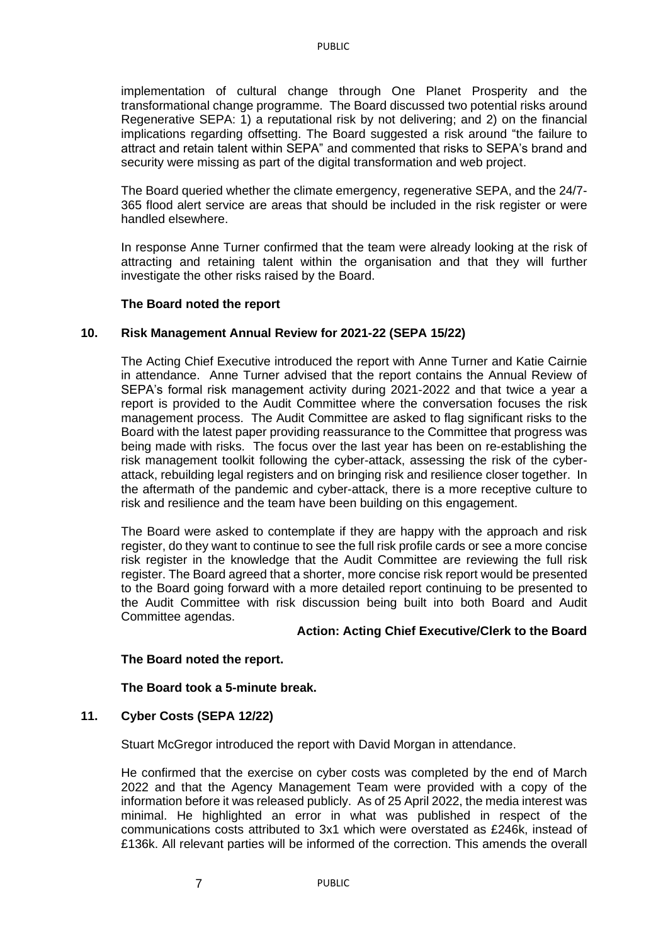implementation of cultural change through One Planet Prosperity and the transformational change programme. The Board discussed two potential risks around Regenerative SEPA: 1) a reputational risk by not delivering; and 2) on the financial implications regarding offsetting. The Board suggested a risk around "the failure to attract and retain talent within SEPA" and commented that risks to SEPA's brand and security were missing as part of the digital transformation and web project.

The Board queried whether the climate emergency, regenerative SEPA, and the 24/7- 365 flood alert service are areas that should be included in the risk register or were handled elsewhere.

In response Anne Turner confirmed that the team were already looking at the risk of attracting and retaining talent within the organisation and that they will further investigate the other risks raised by the Board.

## **The Board noted the report**

## **10. Risk Management Annual Review for 2021-22 (SEPA 15/22)**

The Acting Chief Executive introduced the report with Anne Turner and Katie Cairnie in attendance. Anne Turner advised that the report contains the Annual Review of SEPA's formal risk management activity during 2021-2022 and that twice a year a report is provided to the Audit Committee where the conversation focuses the risk management process. The Audit Committee are asked to flag significant risks to the Board with the latest paper providing reassurance to the Committee that progress was being made with risks. The focus over the last year has been on re-establishing the risk management toolkit following the cyber-attack, assessing the risk of the cyberattack, rebuilding legal registers and on bringing risk and resilience closer together. In the aftermath of the pandemic and cyber-attack, there is a more receptive culture to risk and resilience and the team have been building on this engagement.

The Board were asked to contemplate if they are happy with the approach and risk register, do they want to continue to see the full risk profile cards or see a more concise risk register in the knowledge that the Audit Committee are reviewing the full risk register. The Board agreed that a shorter, more concise risk report would be presented to the Board going forward with a more detailed report continuing to be presented to the Audit Committee with risk discussion being built into both Board and Audit Committee agendas.

### **Action: Acting Chief Executive/Clerk to the Board**

## **The Board noted the report.**

#### **The Board took a 5-minute break.**

## **11. Cyber Costs (SEPA 12/22)**

Stuart McGregor introduced the report with David Morgan in attendance.

He confirmed that the exercise on cyber costs was completed by the end of March 2022 and that the Agency Management Team were provided with a copy of the information before it was released publicly. As of 25 April 2022, the media interest was minimal. He highlighted an error in what was published in respect of the communications costs attributed to 3x1 which were overstated as £246k, instead of £136k. All relevant parties will be informed of the correction. This amends the overall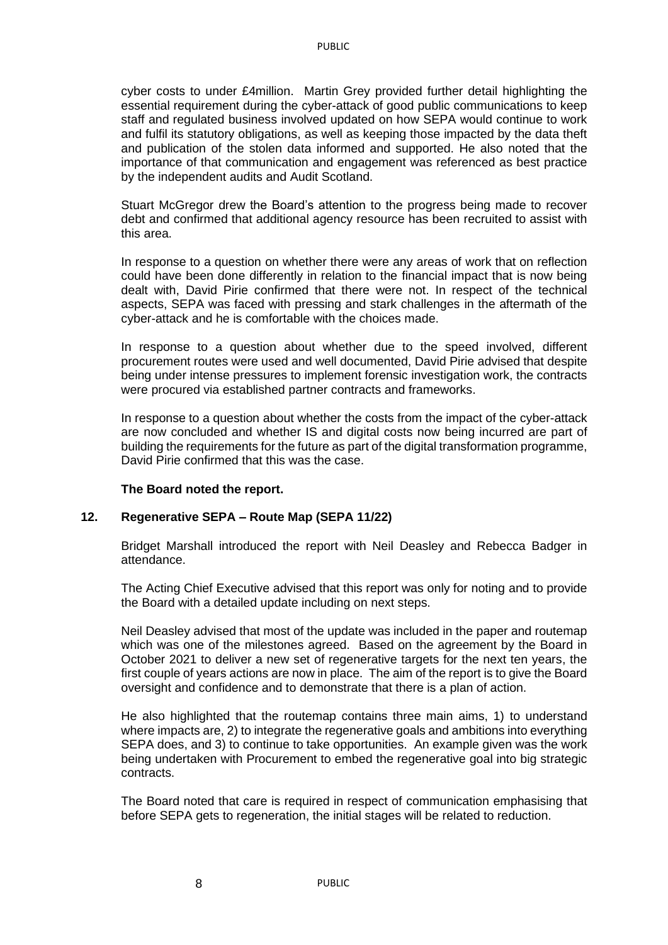cyber costs to under £4million. Martin Grey provided further detail highlighting the essential requirement during the cyber-attack of good public communications to keep staff and regulated business involved updated on how SEPA would continue to work and fulfil its statutory obligations, as well as keeping those impacted by the data theft and publication of the stolen data informed and supported. He also noted that the importance of that communication and engagement was referenced as best practice by the independent audits and Audit Scotland.

Stuart McGregor drew the Board's attention to the progress being made to recover debt and confirmed that additional agency resource has been recruited to assist with this area.

In response to a question on whether there were any areas of work that on reflection could have been done differently in relation to the financial impact that is now being dealt with, David Pirie confirmed that there were not. In respect of the technical aspects, SEPA was faced with pressing and stark challenges in the aftermath of the cyber-attack and he is comfortable with the choices made.

In response to a question about whether due to the speed involved, different procurement routes were used and well documented, David Pirie advised that despite being under intense pressures to implement forensic investigation work, the contracts were procured via established partner contracts and frameworks.

In response to a question about whether the costs from the impact of the cyber-attack are now concluded and whether IS and digital costs now being incurred are part of building the requirements for the future as part of the digital transformation programme, David Pirie confirmed that this was the case.

## **The Board noted the report.**

8

## **12. Regenerative SEPA – Route Map (SEPA 11/22)**

Bridget Marshall introduced the report with Neil Deasley and Rebecca Badger in attendance.

The Acting Chief Executive advised that this report was only for noting and to provide the Board with a detailed update including on next steps.

Neil Deasley advised that most of the update was included in the paper and routemap which was one of the milestones agreed. Based on the agreement by the Board in October 2021 to deliver a new set of regenerative targets for the next ten years, the first couple of years actions are now in place. The aim of the report is to give the Board oversight and confidence and to demonstrate that there is a plan of action.

He also highlighted that the routemap contains three main aims, 1) to understand where impacts are, 2) to integrate the regenerative goals and ambitions into everything SEPA does, and 3) to continue to take opportunities. An example given was the work being undertaken with Procurement to embed the regenerative goal into big strategic contracts.

The Board noted that care is required in respect of communication emphasising that before SEPA gets to regeneration, the initial stages will be related to reduction.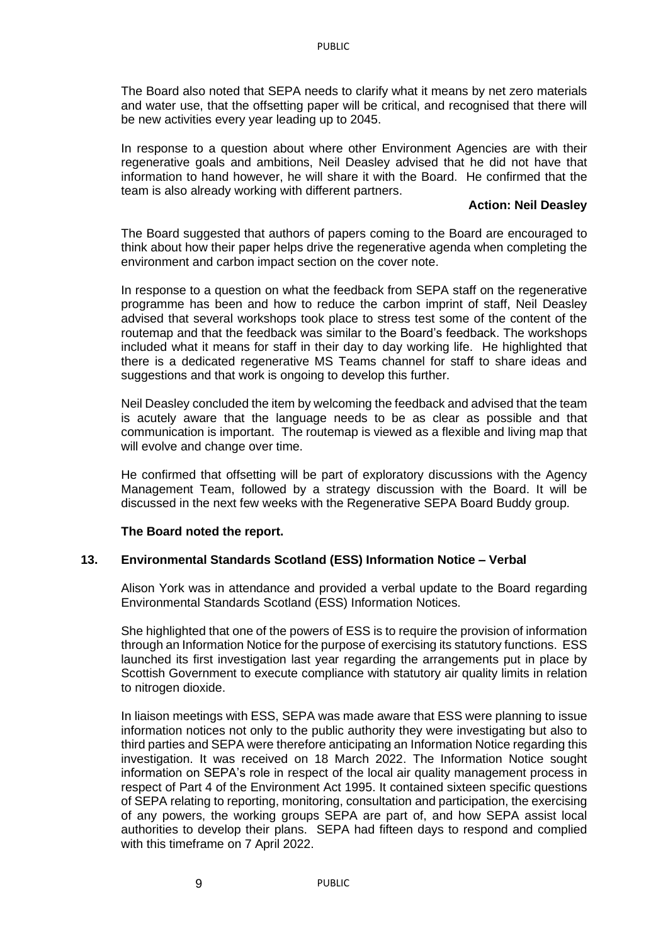The Board also noted that SEPA needs to clarify what it means by net zero materials and water use, that the offsetting paper will be critical, and recognised that there will be new activities every year leading up to 2045.

In response to a question about where other Environment Agencies are with their regenerative goals and ambitions, Neil Deasley advised that he did not have that information to hand however, he will share it with the Board. He confirmed that the team is also already working with different partners.

#### **Action: Neil Deasley**

The Board suggested that authors of papers coming to the Board are encouraged to think about how their paper helps drive the regenerative agenda when completing the environment and carbon impact section on the cover note.

In response to a question on what the feedback from SEPA staff on the regenerative programme has been and how to reduce the carbon imprint of staff, Neil Deasley advised that several workshops took place to stress test some of the content of the routemap and that the feedback was similar to the Board's feedback. The workshops included what it means for staff in their day to day working life. He highlighted that there is a dedicated regenerative MS Teams channel for staff to share ideas and suggestions and that work is ongoing to develop this further.

Neil Deasley concluded the item by welcoming the feedback and advised that the team is acutely aware that the language needs to be as clear as possible and that communication is important. The routemap is viewed as a flexible and living map that will evolve and change over time.

He confirmed that offsetting will be part of exploratory discussions with the Agency Management Team, followed by a strategy discussion with the Board. It will be discussed in the next few weeks with the Regenerative SEPA Board Buddy group.

## **The Board noted the report.**

## **13. Environmental Standards Scotland (ESS) Information Notice – Verbal**

Alison York was in attendance and provided a verbal update to the Board regarding Environmental Standards Scotland (ESS) Information Notices.

She highlighted that one of the powers of ESS is to require the provision of information through an Information Notice for the purpose of exercising its statutory functions. ESS launched its first investigation last year regarding the arrangements put in place by Scottish Government to execute compliance with statutory air quality limits in relation to nitrogen dioxide.

In liaison meetings with ESS, SEPA was made aware that ESS were planning to issue information notices not only to the public authority they were investigating but also to third parties and SEPA were therefore anticipating an Information Notice regarding this investigation. It was received on 18 March 2022. The Information Notice sought information on SEPA's role in respect of the local air quality management process in respect of Part 4 of the Environment Act 1995. It contained sixteen specific questions of SEPA relating to reporting, monitoring, consultation and participation, the exercising of any powers, the working groups SEPA are part of, and how SEPA assist local authorities to develop their plans. SEPA had fifteen days to respond and complied with this timeframe on 7 April 2022.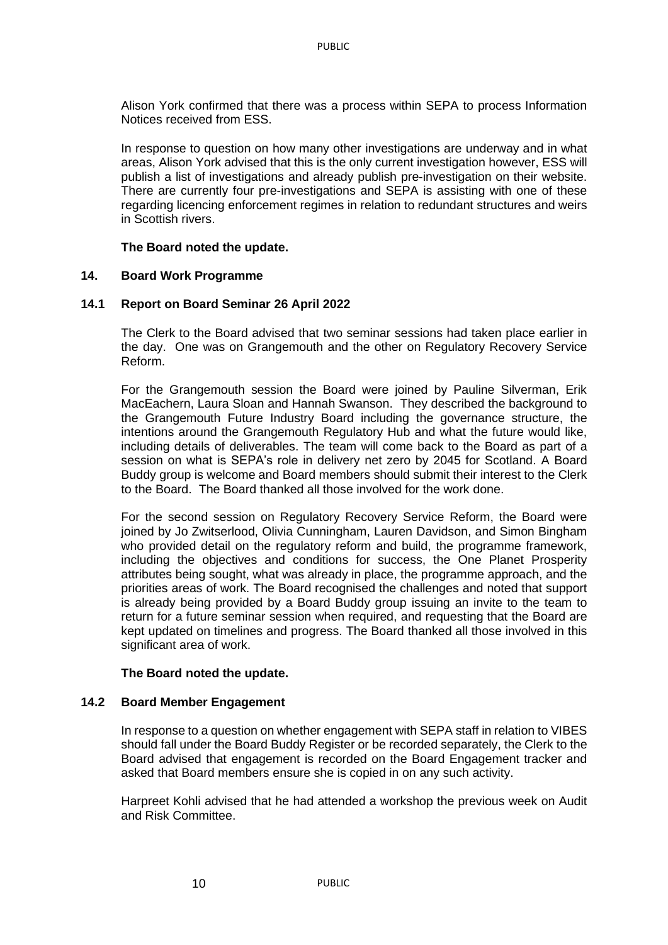Alison York confirmed that there was a process within SEPA to process Information Notices received from ESS.

In response to question on how many other investigations are underway and in what areas, Alison York advised that this is the only current investigation however, ESS will publish a list of investigations and already publish pre-investigation on their website. There are currently four pre-investigations and SEPA is assisting with one of these regarding licencing enforcement regimes in relation to redundant structures and weirs in Scottish rivers.

## **The Board noted the update.**

## **14. Board Work Programme**

## **14.1 Report on Board Seminar 26 April 2022**

The Clerk to the Board advised that two seminar sessions had taken place earlier in the day. One was on Grangemouth and the other on Regulatory Recovery Service Reform.

For the Grangemouth session the Board were joined by Pauline Silverman, Erik MacEachern, Laura Sloan and Hannah Swanson. They described the background to the Grangemouth Future Industry Board including the governance structure, the intentions around the Grangemouth Regulatory Hub and what the future would like, including details of deliverables. The team will come back to the Board as part of a session on what is SEPA's role in delivery net zero by 2045 for Scotland. A Board Buddy group is welcome and Board members should submit their interest to the Clerk to the Board. The Board thanked all those involved for the work done.

For the second session on Regulatory Recovery Service Reform, the Board were joined by Jo Zwitserlood, Olivia Cunningham, Lauren Davidson, and Simon Bingham who provided detail on the regulatory reform and build, the programme framework, including the objectives and conditions for success, the One Planet Prosperity attributes being sought, what was already in place, the programme approach, and the priorities areas of work. The Board recognised the challenges and noted that support is already being provided by a Board Buddy group issuing an invite to the team to return for a future seminar session when required, and requesting that the Board are kept updated on timelines and progress. The Board thanked all those involved in this significant area of work.

#### **The Board noted the update.**

## **14.2 Board Member Engagement**

In response to a question on whether engagement with SEPA staff in relation to VIBES should fall under the Board Buddy Register or be recorded separately, the Clerk to the Board advised that engagement is recorded on the Board Engagement tracker and asked that Board members ensure she is copied in on any such activity.

Harpreet Kohli advised that he had attended a workshop the previous week on Audit and Risk Committee.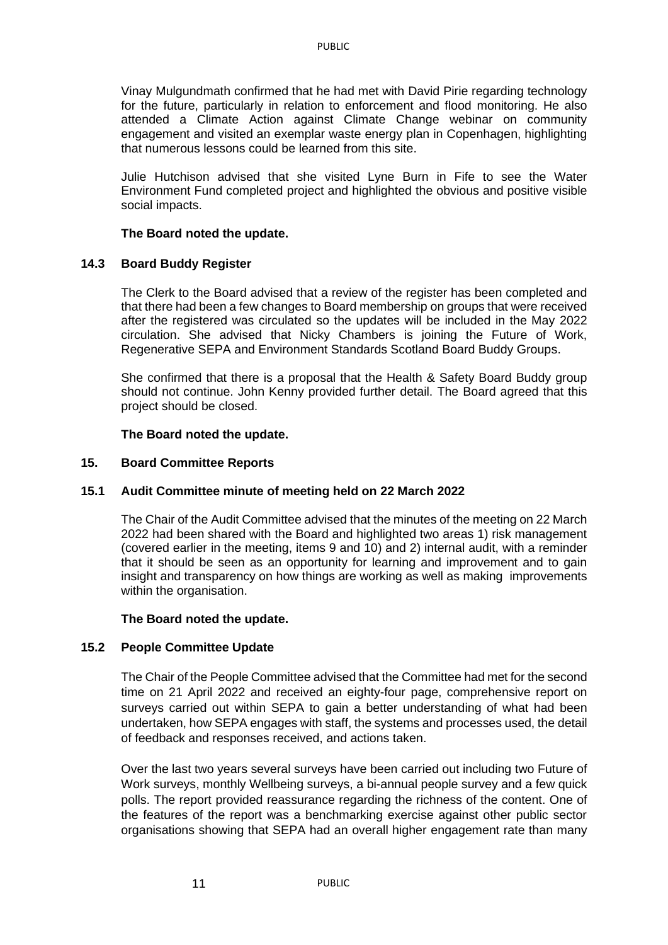Vinay Mulgundmath confirmed that he had met with David Pirie regarding technology for the future, particularly in relation to enforcement and flood monitoring. He also attended a Climate Action against Climate Change webinar on community engagement and visited an exemplar waste energy plan in Copenhagen, highlighting that numerous lessons could be learned from this site.

Julie Hutchison advised that she visited Lyne Burn in Fife to see the Water Environment Fund completed project and highlighted the obvious and positive visible social impacts.

## **The Board noted the update.**

## **14.3 Board Buddy Register**

The Clerk to the Board advised that a review of the register has been completed and that there had been a few changes to Board membership on groups that were received after the registered was circulated so the updates will be included in the May 2022 circulation. She advised that Nicky Chambers is joining the Future of Work, Regenerative SEPA and Environment Standards Scotland Board Buddy Groups.

She confirmed that there is a proposal that the Health & Safety Board Buddy group should not continue. John Kenny provided further detail. The Board agreed that this project should be closed.

#### **The Board noted the update.**

## **15. Board Committee Reports**

## **15.1 Audit Committee minute of meeting held on 22 March 2022**

The Chair of the Audit Committee advised that the minutes of the meeting on 22 March 2022 had been shared with the Board and highlighted two areas 1) risk management (covered earlier in the meeting, items 9 and 10) and 2) internal audit, with a reminder that it should be seen as an opportunity for learning and improvement and to gain insight and transparency on how things are working as well as making improvements within the organisation.

#### **The Board noted the update.**

#### **15.2 People Committee Update**

The Chair of the People Committee advised that the Committee had met for the second time on 21 April 2022 and received an eighty-four page, comprehensive report on surveys carried out within SEPA to gain a better understanding of what had been undertaken, how SEPA engages with staff, the systems and processes used, the detail of feedback and responses received, and actions taken.

Over the last two years several surveys have been carried out including two Future of Work surveys, monthly Wellbeing surveys, a bi-annual people survey and a few quick polls. The report provided reassurance regarding the richness of the content. One of the features of the report was a benchmarking exercise against other public sector organisations showing that SEPA had an overall higher engagement rate than many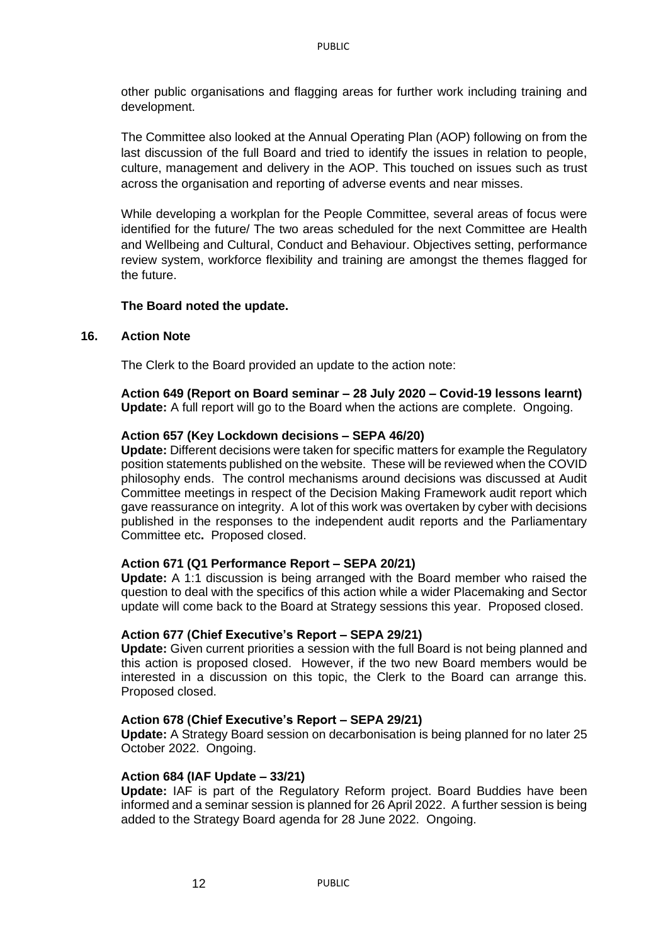other public organisations and flagging areas for further work including training and development.

The Committee also looked at the Annual Operating Plan (AOP) following on from the last discussion of the full Board and tried to identify the issues in relation to people, culture, management and delivery in the AOP. This touched on issues such as trust across the organisation and reporting of adverse events and near misses.

While developing a workplan for the People Committee, several areas of focus were identified for the future/ The two areas scheduled for the next Committee are Health and Wellbeing and Cultural, Conduct and Behaviour. Objectives setting, performance review system, workforce flexibility and training are amongst the themes flagged for the future.

## **The Board noted the update.**

#### **16. Action Note**

The Clerk to the Board provided an update to the action note:

**Action 649 (Report on Board seminar – 28 July 2020 – Covid-19 lessons learnt) Update:** A full report will go to the Board when the actions are complete. Ongoing.

## **Action 657 (Key Lockdown decisions – SEPA 46/20)**

**Update:** Different decisions were taken for specific matters for example the Regulatory position statements published on the website. These will be reviewed when the COVID philosophy ends. The control mechanisms around decisions was discussed at Audit Committee meetings in respect of the Decision Making Framework audit report which gave reassurance on integrity. A lot of this work was overtaken by cyber with decisions published in the responses to the independent audit reports and the Parliamentary Committee etc**.** Proposed closed.

#### **Action 671 (Q1 Performance Report – SEPA 20/21)**

**Update:** A 1:1 discussion is being arranged with the Board member who raised the question to deal with the specifics of this action while a wider Placemaking and Sector update will come back to the Board at Strategy sessions this year. Proposed closed.

#### **Action 677 (Chief Executive's Report – SEPA 29/21)**

**Update:** Given current priorities a session with the full Board is not being planned and this action is proposed closed. However, if the two new Board members would be interested in a discussion on this topic, the Clerk to the Board can arrange this. Proposed closed.

#### **Action 678 (Chief Executive's Report – SEPA 29/21)**

**Update:** A Strategy Board session on decarbonisation is being planned for no later 25 October 2022. Ongoing.

#### **Action 684 (IAF Update – 33/21)**

12

**Update:** IAF is part of the Regulatory Reform project. Board Buddies have been informed and a seminar session is planned for 26 April 2022. A further session is being added to the Strategy Board agenda for 28 June 2022. Ongoing.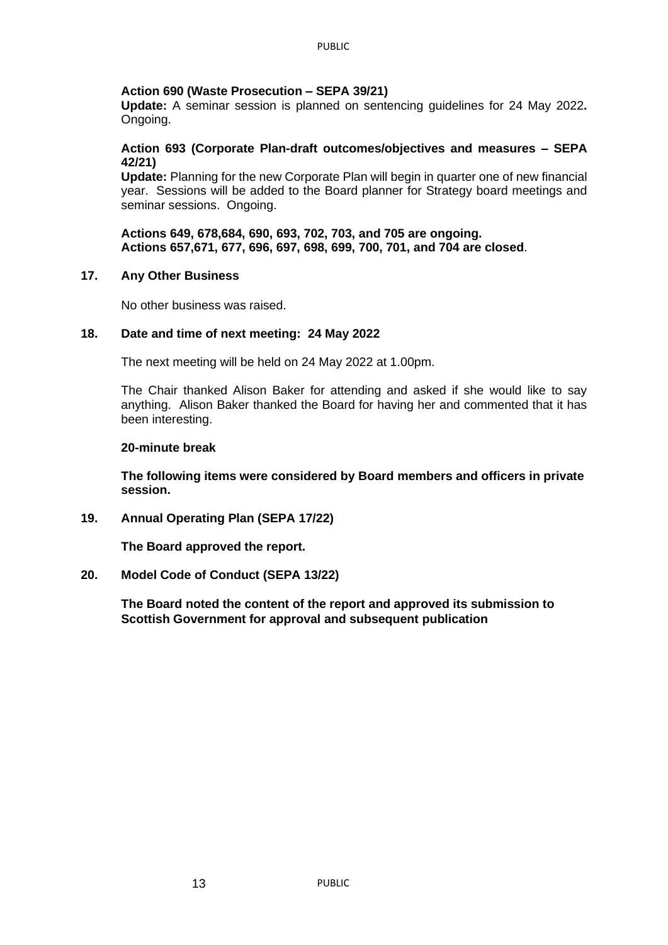## **Action 690 (Waste Prosecution – SEPA 39/21)**

**Update:** A seminar session is planned on sentencing guidelines for 24 May 2022**.**  Ongoing.

## **Action 693 (Corporate Plan-draft outcomes/objectives and measures – SEPA 42/21)**

**Update:** Planning for the new Corporate Plan will begin in quarter one of new financial year. Sessions will be added to the Board planner for Strategy board meetings and seminar sessions. Ongoing.

**Actions 649, 678,684, 690, 693, 702, 703, and 705 are ongoing. Actions 657,671, 677, 696, 697, 698, 699, 700, 701, and 704 are closed**.

## **17. Any Other Business**

No other business was raised.

## **18. Date and time of next meeting: 24 May 2022**

The next meeting will be held on 24 May 2022 at 1.00pm.

The Chair thanked Alison Baker for attending and asked if she would like to say anything. Alison Baker thanked the Board for having her and commented that it has been interesting.

#### **20-minute break**

**The following items were considered by Board members and officers in private session.**

## **19. Annual Operating Plan (SEPA 17/22)**

**The Board approved the report.**

## **20. Model Code of Conduct (SEPA 13/22)**

**The Board noted the content of the report and approved its submission to Scottish Government for approval and subsequent publication**